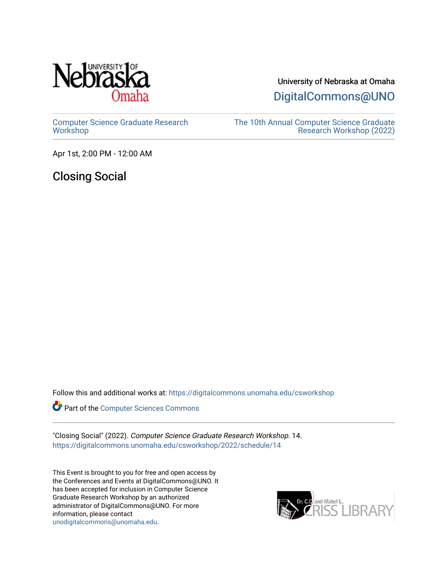

University of Nebraska at Omaha

[DigitalCommons@UNO](https://digitalcommons.unomaha.edu/) 

[Computer Science Graduate Research](https://digitalcommons.unomaha.edu/csworkshop) **[Workshop](https://digitalcommons.unomaha.edu/csworkshop)** 

[The 10th Annual Computer Science Graduate](https://digitalcommons.unomaha.edu/csworkshop/2022)  [Research Workshop \(2022\)](https://digitalcommons.unomaha.edu/csworkshop/2022) 

Apr 1st, 2:00 PM - 12:00 AM

Closing Social

Follow this and additional works at: [https://digitalcommons.unomaha.edu/csworkshop](https://digitalcommons.unomaha.edu/csworkshop?utm_source=digitalcommons.unomaha.edu%2Fcsworkshop%2F2022%2Fschedule%2F14&utm_medium=PDF&utm_campaign=PDFCoverPages) 

**Part of the [Computer Sciences Commons](http://network.bepress.com/hgg/discipline/142?utm_source=digitalcommons.unomaha.edu%2Fcsworkshop%2F2022%2Fschedule%2F14&utm_medium=PDF&utm_campaign=PDFCoverPages)** 

"Closing Social" (2022). Computer Science Graduate Research Workshop. 14. [https://digitalcommons.unomaha.edu/csworkshop/2022/schedule/14](https://digitalcommons.unomaha.edu/csworkshop/2022/schedule/14?utm_source=digitalcommons.unomaha.edu%2Fcsworkshop%2F2022%2Fschedule%2F14&utm_medium=PDF&utm_campaign=PDFCoverPages)

This Event is brought to you for free and open access by the Conferences and Events at DigitalCommons@UNO. It has been accepted for inclusion in Computer Science Graduate Research Workshop by an authorized administrator of DigitalCommons@UNO. For more information, please contact [unodigitalcommons@unomaha.edu.](mailto:unodigitalcommons@unomaha.edu)

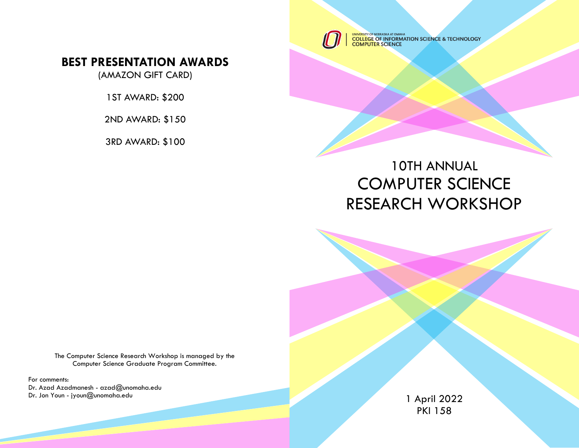UNIVERSITY OF NEBRASKA AT OMAHA<br>COLLEGE OF INFORMATION SCIENCE & TECHNOLOGY<br>COMPUTER SCIENCE

## **BEST PRESENTATION AWARDS**

(AMAZON GIFT CARD)

1ST AWARD: \$200

2ND AWARD: \$150

3RD AWARD: \$100

# 10TH ANNUAL COMPUTER SCIENCE RESEARCH WORKSHOP

The Computer Science Research Workshop is managed by the Computer Science Graduate Program Committee.

For comments: Dr. Azad Azadmanesh - azad@unomaha.edu Dr. Jon Youn - jyoun@unomaha.edu

1 April 2022 PKI 158